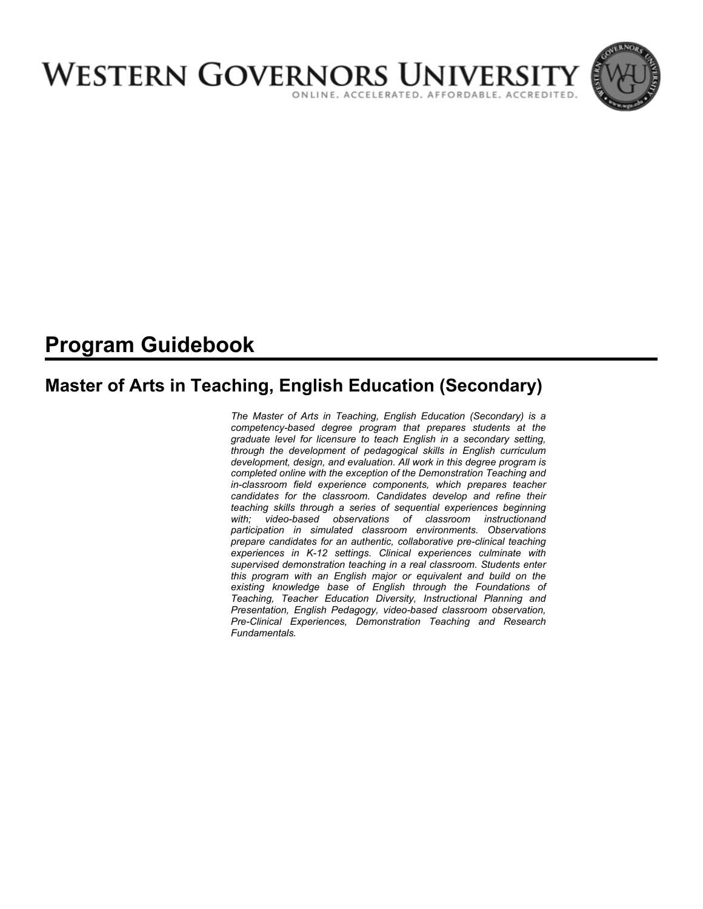

# **Program Guidebook**

# **Master of Arts in Teaching, English Education (Secondary)**

*The Master of Arts in Teaching, English Education (Secondary) is a competency-based degree program that prepares students at the graduate level for licensure to teach English in a secondary setting, through the development of pedagogical skills in English curriculum development, design, and evaluation. All work in this degree program is completed online with the exception of the Demonstration Teaching and in-classroom field experience components, which prepares teacher candidates for the classroom. Candidates develop and refine their teaching skills through a series of sequential experiences beginning with; video-based observations of classroom instructionand participation in simulated classroom environments. Observations prepare candidates for an authentic, collaborative pre-clinical teaching experiences in K-12 settings. Clinical experiences culminate with supervised demonstration teaching in a real classroom. Students enter this program with an English major or equivalent and build on the existing knowledge base of English through the Foundations of Teaching, Teacher Education Diversity, Instructional Planning and Presentation, English Pedagogy, video-based classroom observation, Pre-Clinical Experiences, Demonstration Teaching and Research Fundamentals.*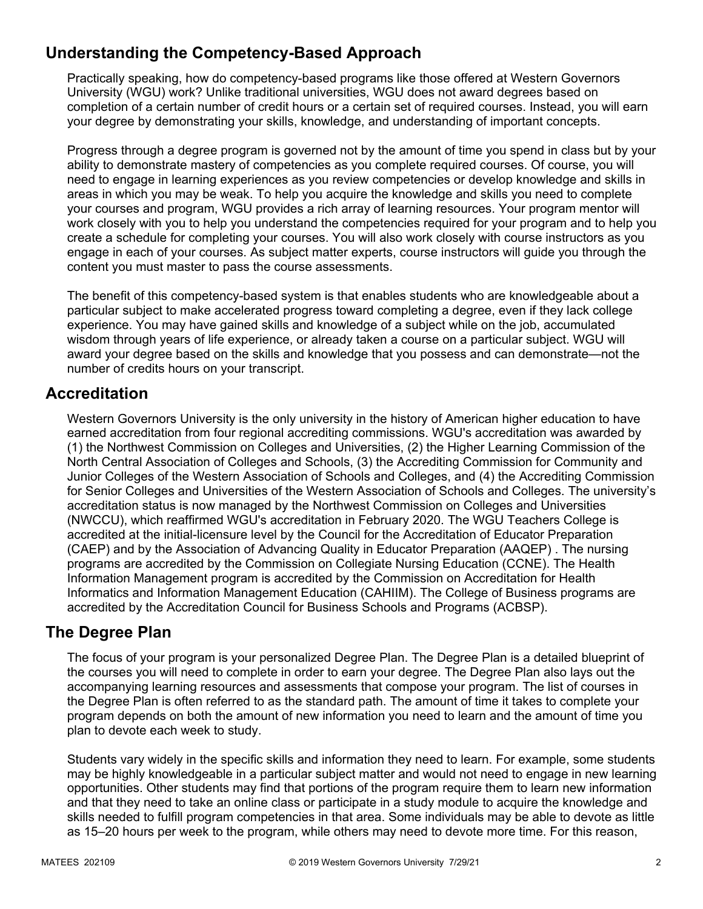# **Understanding the Competency-Based Approach**

Practically speaking, how do competency-based programs like those offered at Western Governors University (WGU) work? Unlike traditional universities, WGU does not award degrees based on completion of a certain number of credit hours or a certain set of required courses. Instead, you will earn your degree by demonstrating your skills, knowledge, and understanding of important concepts.

Progress through a degree program is governed not by the amount of time you spend in class but by your ability to demonstrate mastery of competencies as you complete required courses. Of course, you will need to engage in learning experiences as you review competencies or develop knowledge and skills in areas in which you may be weak. To help you acquire the knowledge and skills you need to complete your courses and program, WGU provides a rich array of learning resources. Your program mentor will work closely with you to help you understand the competencies required for your program and to help you create a schedule for completing your courses. You will also work closely with course instructors as you engage in each of your courses. As subject matter experts, course instructors will guide you through the content you must master to pass the course assessments.

The benefit of this competency-based system is that enables students who are knowledgeable about a particular subject to make accelerated progress toward completing a degree, even if they lack college experience. You may have gained skills and knowledge of a subject while on the job, accumulated wisdom through years of life experience, or already taken a course on a particular subject. WGU will award your degree based on the skills and knowledge that you possess and can demonstrate—not the number of credits hours on your transcript.

# **Accreditation**

Western Governors University is the only university in the history of American higher education to have earned accreditation from four regional accrediting commissions. WGU's accreditation was awarded by (1) the Northwest Commission on Colleges and Universities, (2) the Higher Learning Commission of the North Central Association of Colleges and Schools, (3) the Accrediting Commission for Community and Junior Colleges of the Western Association of Schools and Colleges, and (4) the Accrediting Commission for Senior Colleges and Universities of the Western Association of Schools and Colleges. The university's accreditation status is now managed by the Northwest Commission on Colleges and Universities (NWCCU), which reaffirmed WGU's accreditation in February 2020. The WGU Teachers College is accredited at the initial-licensure level by the Council for the Accreditation of Educator Preparation (CAEP) and by the Association of Advancing Quality in Educator Preparation (AAQEP) . The nursing programs are accredited by the Commission on Collegiate Nursing Education (CCNE). The Health Information Management program is accredited by the Commission on Accreditation for Health Informatics and Information Management Education (CAHIIM). The College of Business programs are accredited by the Accreditation Council for Business Schools and Programs (ACBSP).

### **The Degree Plan**

The focus of your program is your personalized Degree Plan. The Degree Plan is a detailed blueprint of the courses you will need to complete in order to earn your degree. The Degree Plan also lays out the accompanying learning resources and assessments that compose your program. The list of courses in the Degree Plan is often referred to as the standard path. The amount of time it takes to complete your program depends on both the amount of new information you need to learn and the amount of time you plan to devote each week to study.

Students vary widely in the specific skills and information they need to learn. For example, some students may be highly knowledgeable in a particular subject matter and would not need to engage in new learning opportunities. Other students may find that portions of the program require them to learn new information and that they need to take an online class or participate in a study module to acquire the knowledge and skills needed to fulfill program competencies in that area. Some individuals may be able to devote as little as 15–20 hours per week to the program, while others may need to devote more time. For this reason,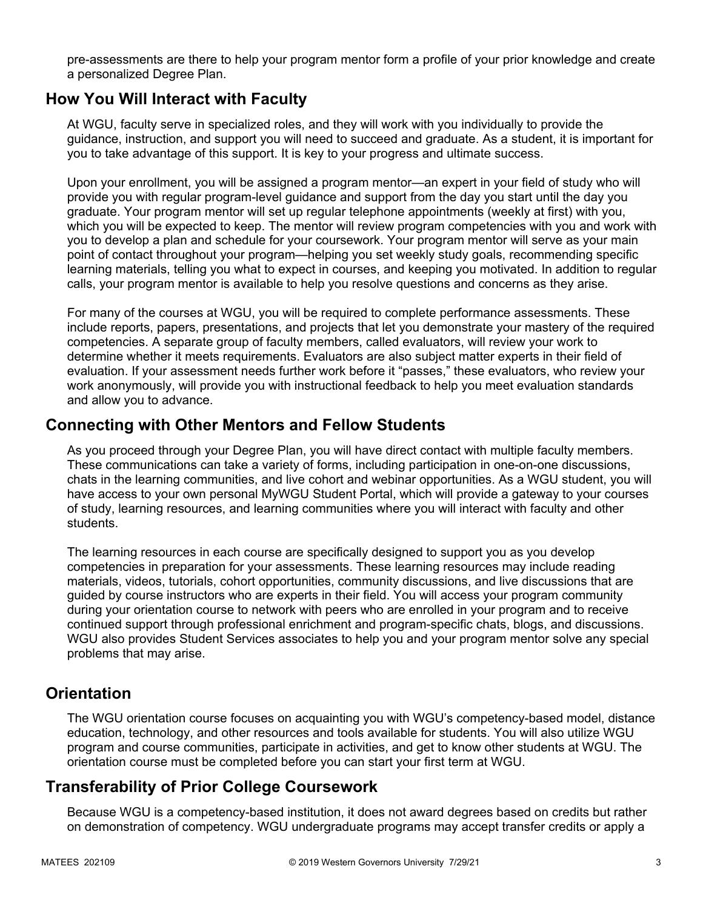pre-assessments are there to help your program mentor form a profile of your prior knowledge and create a personalized Degree Plan.

### **How You Will Interact with Faculty**

At WGU, faculty serve in specialized roles, and they will work with you individually to provide the guidance, instruction, and support you will need to succeed and graduate. As a student, it is important for you to take advantage of this support. It is key to your progress and ultimate success.

Upon your enrollment, you will be assigned a program mentor—an expert in your field of study who will provide you with regular program-level guidance and support from the day you start until the day you graduate. Your program mentor will set up regular telephone appointments (weekly at first) with you, which you will be expected to keep. The mentor will review program competencies with you and work with you to develop a plan and schedule for your coursework. Your program mentor will serve as your main point of contact throughout your program—helping you set weekly study goals, recommending specific learning materials, telling you what to expect in courses, and keeping you motivated. In addition to regular calls, your program mentor is available to help you resolve questions and concerns as they arise.

For many of the courses at WGU, you will be required to complete performance assessments. These include reports, papers, presentations, and projects that let you demonstrate your mastery of the required competencies. A separate group of faculty members, called evaluators, will review your work to determine whether it meets requirements. Evaluators are also subject matter experts in their field of evaluation. If your assessment needs further work before it "passes," these evaluators, who review your work anonymously, will provide you with instructional feedback to help you meet evaluation standards and allow you to advance.

### **Connecting with Other Mentors and Fellow Students**

As you proceed through your Degree Plan, you will have direct contact with multiple faculty members. These communications can take a variety of forms, including participation in one-on-one discussions, chats in the learning communities, and live cohort and webinar opportunities. As a WGU student, you will have access to your own personal MyWGU Student Portal, which will provide a gateway to your courses of study, learning resources, and learning communities where you will interact with faculty and other students.

The learning resources in each course are specifically designed to support you as you develop competencies in preparation for your assessments. These learning resources may include reading materials, videos, tutorials, cohort opportunities, community discussions, and live discussions that are guided by course instructors who are experts in their field. You will access your program community during your orientation course to network with peers who are enrolled in your program and to receive continued support through professional enrichment and program-specific chats, blogs, and discussions. WGU also provides Student Services associates to help you and your program mentor solve any special problems that may arise.

### **Orientation**

The WGU orientation course focuses on acquainting you with WGU's competency-based model, distance education, technology, and other resources and tools available for students. You will also utilize WGU program and course communities, participate in activities, and get to know other students at WGU. The orientation course must be completed before you can start your first term at WGU.

# **Transferability of Prior College Coursework**

Because WGU is a competency-based institution, it does not award degrees based on credits but rather on demonstration of competency. WGU undergraduate programs may accept transfer credits or apply a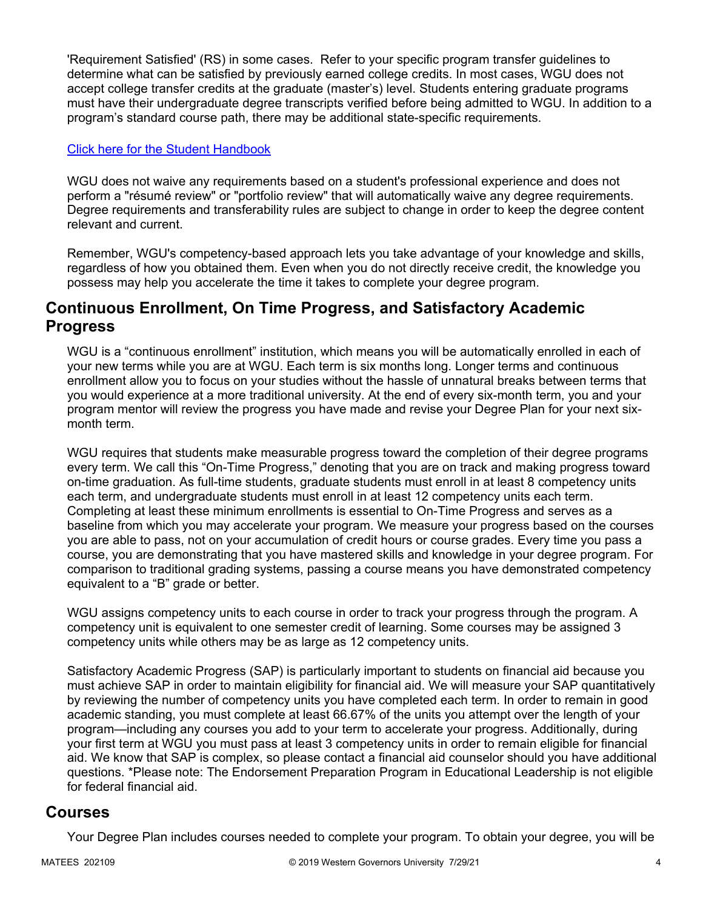'Requirement Satisfied' (RS) in some cases. Refer to your specific program transfer guidelines to determine what can be satisfied by previously earned college credits. In most cases, WGU does not accept college transfer credits at the graduate (master's) level. Students entering graduate programs must have their undergraduate degree transcripts verified before being admitted to WGU. In addition to a program's standard course path, there may be additional state-specific requirements.

### [Click here for the Student Handbook](http://cm.wgu.edu/)

WGU does not waive any requirements based on a student's professional experience and does not perform a "résumé review" or "portfolio review" that will automatically waive any degree requirements. Degree requirements and transferability rules are subject to change in order to keep the degree content relevant and current.

Remember, WGU's competency-based approach lets you take advantage of your knowledge and skills, regardless of how you obtained them. Even when you do not directly receive credit, the knowledge you possess may help you accelerate the time it takes to complete your degree program.

### **Continuous Enrollment, On Time Progress, and Satisfactory Academic Progress**

WGU is a "continuous enrollment" institution, which means you will be automatically enrolled in each of your new terms while you are at WGU. Each term is six months long. Longer terms and continuous enrollment allow you to focus on your studies without the hassle of unnatural breaks between terms that you would experience at a more traditional university. At the end of every six-month term, you and your program mentor will review the progress you have made and revise your Degree Plan for your next sixmonth term.

WGU requires that students make measurable progress toward the completion of their degree programs every term. We call this "On-Time Progress," denoting that you are on track and making progress toward on-time graduation. As full-time students, graduate students must enroll in at least 8 competency units each term, and undergraduate students must enroll in at least 12 competency units each term. Completing at least these minimum enrollments is essential to On-Time Progress and serves as a baseline from which you may accelerate your program. We measure your progress based on the courses you are able to pass, not on your accumulation of credit hours or course grades. Every time you pass a course, you are demonstrating that you have mastered skills and knowledge in your degree program. For comparison to traditional grading systems, passing a course means you have demonstrated competency equivalent to a "B" grade or better.

WGU assigns competency units to each course in order to track your progress through the program. A competency unit is equivalent to one semester credit of learning. Some courses may be assigned 3 competency units while others may be as large as 12 competency units.

Satisfactory Academic Progress (SAP) is particularly important to students on financial aid because you must achieve SAP in order to maintain eligibility for financial aid. We will measure your SAP quantitatively by reviewing the number of competency units you have completed each term. In order to remain in good academic standing, you must complete at least 66.67% of the units you attempt over the length of your program—including any courses you add to your term to accelerate your progress. Additionally, during your first term at WGU you must pass at least 3 competency units in order to remain eligible for financial aid. We know that SAP is complex, so please contact a financial aid counselor should you have additional questions. \*Please note: The Endorsement Preparation Program in Educational Leadership is not eligible for federal financial aid.

### **Courses**

Your Degree Plan includes courses needed to complete your program. To obtain your degree, you will be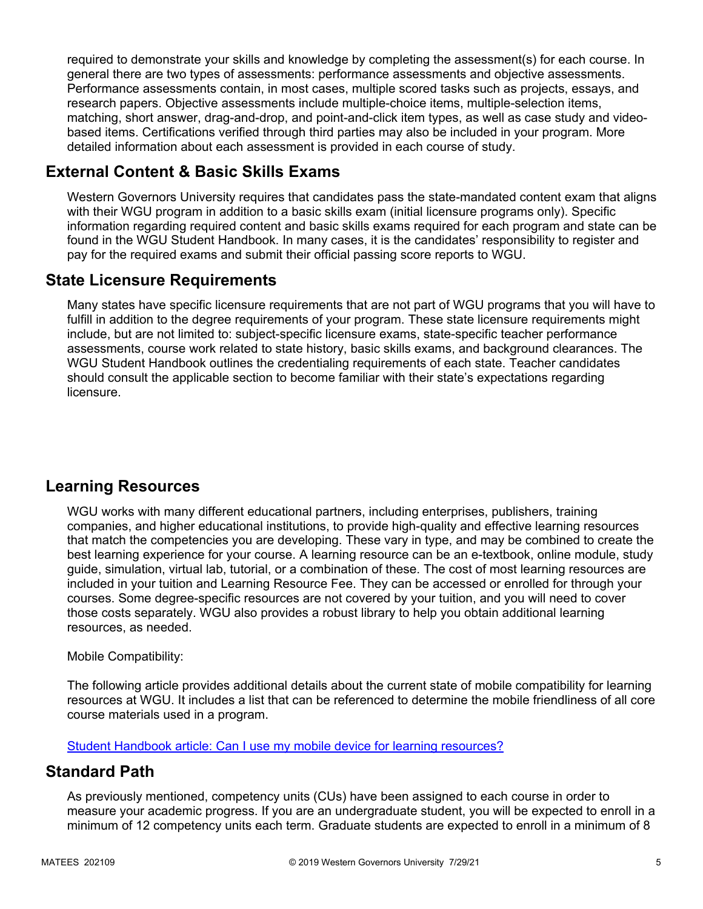required to demonstrate your skills and knowledge by completing the assessment(s) for each course. In general there are two types of assessments: performance assessments and objective assessments. Performance assessments contain, in most cases, multiple scored tasks such as projects, essays, and research papers. Objective assessments include multiple-choice items, multiple-selection items, matching, short answer, drag-and-drop, and point-and-click item types, as well as case study and videobased items. Certifications verified through third parties may also be included in your program. More detailed information about each assessment is provided in each course of study.

# **External Content & Basic Skills Exams**

Western Governors University requires that candidates pass the state-mandated content exam that aligns with their WGU program in addition to a basic skills exam (initial licensure programs only). Specific information regarding required content and basic skills exams required for each program and state can be found in the WGU Student Handbook. In many cases, it is the candidates' responsibility to register and pay for the required exams and submit their official passing score reports to WGU.

# **State Licensure Requirements**

Many states have specific licensure requirements that are not part of WGU programs that you will have to fulfill in addition to the degree requirements of your program. These state licensure requirements might include, but are not limited to: subject-specific licensure exams, state-specific teacher performance assessments, course work related to state history, basic skills exams, and background clearances. The WGU Student Handbook outlines the credentialing requirements of each state. Teacher candidates should consult the applicable section to become familiar with their state's expectations regarding licensure.

# **Learning Resources**

WGU works with many different educational partners, including enterprises, publishers, training companies, and higher educational institutions, to provide high-quality and effective learning resources that match the competencies you are developing. These vary in type, and may be combined to create the best learning experience for your course. A learning resource can be an e-textbook, online module, study guide, simulation, virtual lab, tutorial, or a combination of these. The cost of most learning resources are included in your tuition and Learning Resource Fee. They can be accessed or enrolled for through your courses. Some degree-specific resources are not covered by your tuition, and you will need to cover those costs separately. WGU also provides a robust library to help you obtain additional learning resources, as needed.

### Mobile Compatibility:

The following article provides additional details about the current state of mobile compatibility for learning resources at WGU. It includes a list that can be referenced to determine the mobile friendliness of all core course materials used in a program.

[Student Handbook article: Can I use my mobile device for learning resources?](https://cm.wgu.edu/t5/Frequently-Asked-Questions/Can-I-use-my-mobile-device-for-learning-resources/ta-p/396)

### **Standard Path**

As previously mentioned, competency units (CUs) have been assigned to each course in order to measure your academic progress. If you are an undergraduate student, you will be expected to enroll in a minimum of 12 competency units each term. Graduate students are expected to enroll in a minimum of 8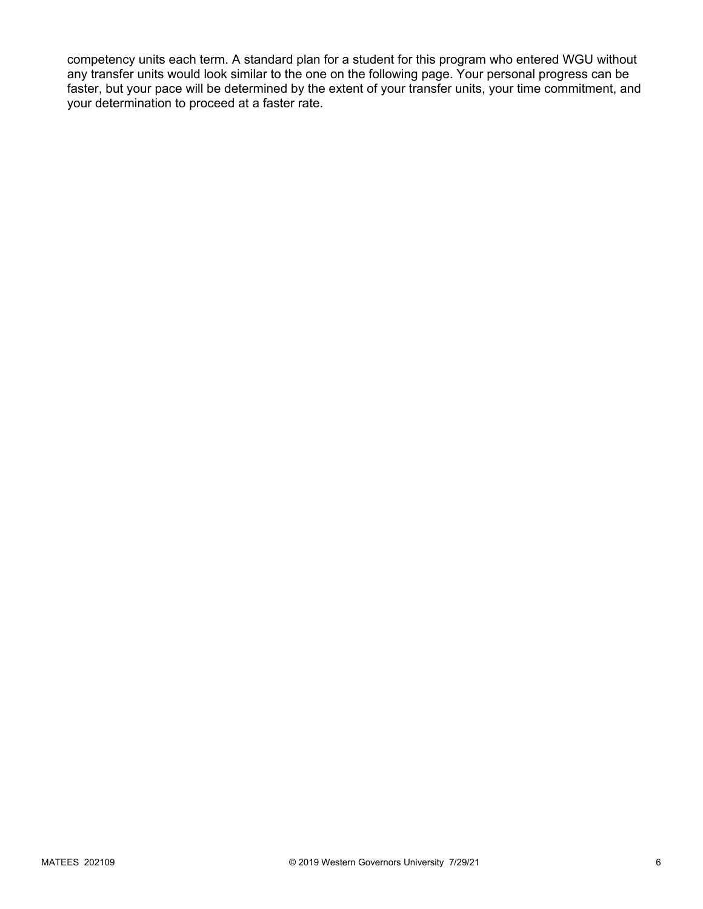competency units each term. A standard plan for a student for this program who entered WGU without any transfer units would look similar to the one on the following page. Your personal progress can be faster, but your pace will be determined by the extent of your transfer units, your time commitment, and your determination to proceed at a faster rate.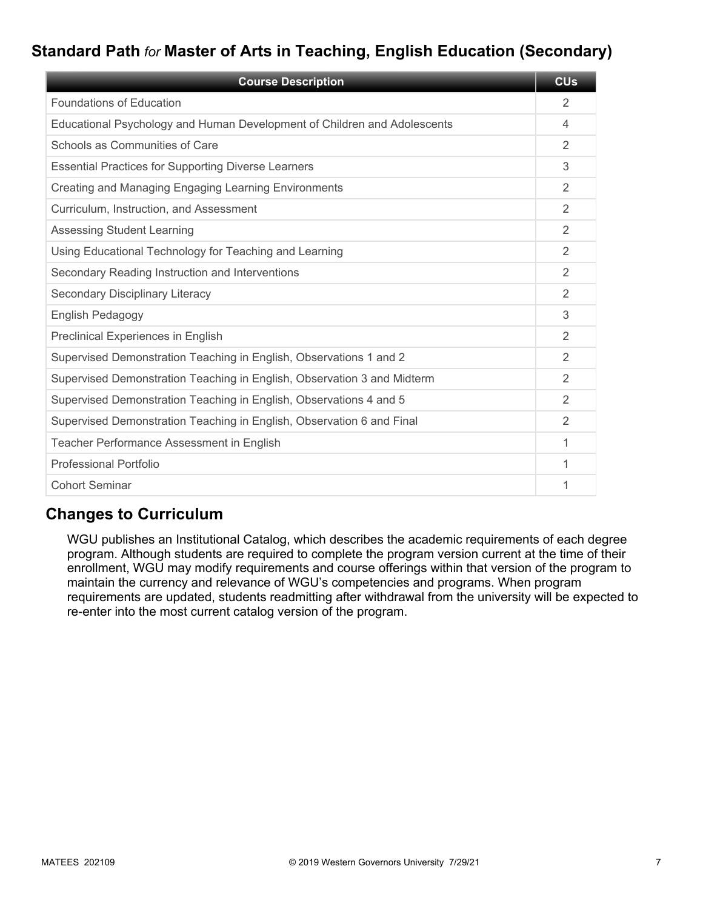# **Standard Path** *for* **Master of Arts in Teaching, English Education (Secondary)**

| <b>Course Description</b>                                                | <b>CU<sub>s</sub></b> |
|--------------------------------------------------------------------------|-----------------------|
| <b>Foundations of Education</b>                                          | 2                     |
| Educational Psychology and Human Development of Children and Adolescents | 4                     |
| Schools as Communities of Care                                           | $\mathfrak{D}$        |
| <b>Essential Practices for Supporting Diverse Learners</b>               | 3                     |
| Creating and Managing Engaging Learning Environments                     | 2                     |
| Curriculum, Instruction, and Assessment                                  | $\overline{2}$        |
| <b>Assessing Student Learning</b>                                        | $\overline{2}$        |
| Using Educational Technology for Teaching and Learning                   | 2                     |
| Secondary Reading Instruction and Interventions                          | 2                     |
| Secondary Disciplinary Literacy                                          | $\overline{2}$        |
| English Pedagogy                                                         | 3                     |
| Preclinical Experiences in English                                       | 2                     |
| Supervised Demonstration Teaching in English, Observations 1 and 2       | $\mathfrak{D}$        |
| Supervised Demonstration Teaching in English, Observation 3 and Midterm  | 2                     |
| Supervised Demonstration Teaching in English, Observations 4 and 5       | 2                     |
| Supervised Demonstration Teaching in English, Observation 6 and Final    | $\mathfrak{D}$        |
| Teacher Performance Assessment in English                                | 1                     |
| <b>Professional Portfolio</b>                                            | 1                     |
| <b>Cohort Seminar</b>                                                    | 1                     |

### **Changes to Curriculum**

WGU publishes an Institutional Catalog, which describes the academic requirements of each degree program. Although students are required to complete the program version current at the time of their enrollment, WGU may modify requirements and course offerings within that version of the program to maintain the currency and relevance of WGU's competencies and programs. When program requirements are updated, students readmitting after withdrawal from the university will be expected to re-enter into the most current catalog version of the program.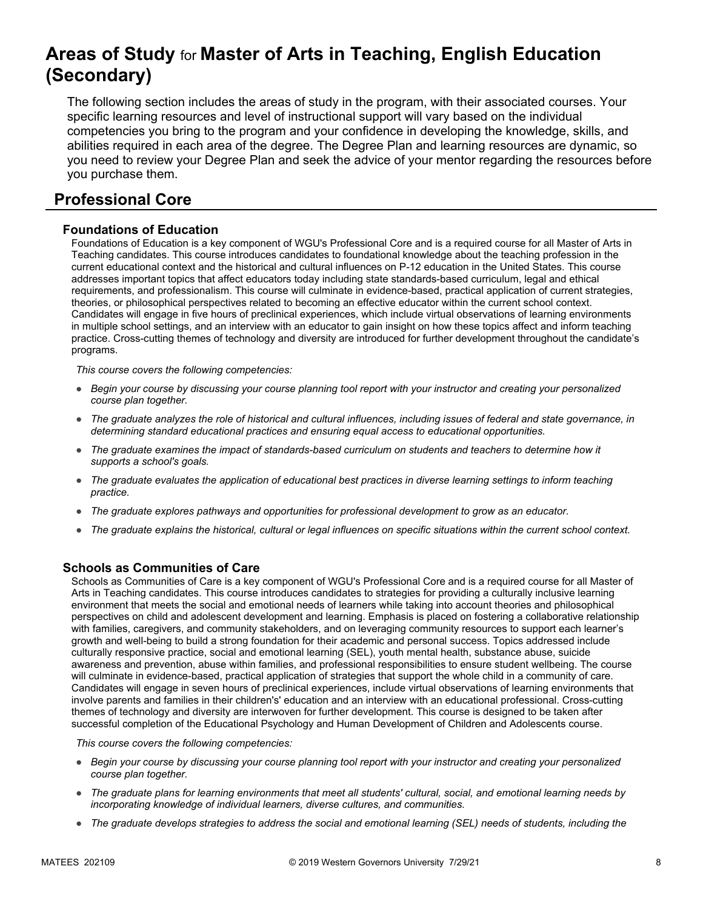# **Areas of Study** for **Master of Arts in Teaching, English Education (Secondary)**

The following section includes the areas of study in the program, with their associated courses. Your specific learning resources and level of instructional support will vary based on the individual competencies you bring to the program and your confidence in developing the knowledge, skills, and abilities required in each area of the degree. The Degree Plan and learning resources are dynamic, so you need to review your Degree Plan and seek the advice of your mentor regarding the resources before you purchase them.

# **Professional Core**

### **Foundations of Education**

Foundations of Education is a key component of WGU's Professional Core and is a required course for all Master of Arts in Teaching candidates. This course introduces candidates to foundational knowledge about the teaching profession in the current educational context and the historical and cultural influences on P-12 education in the United States. This course addresses important topics that affect educators today including state standards-based curriculum, legal and ethical requirements, and professionalism. This course will culminate in evidence-based, practical application of current strategies, theories, or philosophical perspectives related to becoming an effective educator within the current school context. Candidates will engage in five hours of preclinical experiences, which include virtual observations of learning environments in multiple school settings, and an interview with an educator to gain insight on how these topics affect and inform teaching practice. Cross-cutting themes of technology and diversity are introduced for further development throughout the candidate's programs.

*This course covers the following competencies:*

- *Begin your course by discussing your course planning tool report with your instructor and creating your personalized course plan together.*
- *The graduate analyzes the role of historical and cultural influences, including issues of federal and state governance, in determining standard educational practices and ensuring equal access to educational opportunities.*
- *The graduate examines the impact of standards-based curriculum on students and teachers to determine how it supports a school's goals.*
- *The graduate evaluates the application of educational best practices in diverse learning settings to inform teaching practice.*
- *The graduate explores pathways and opportunities for professional development to grow as an educator.*
- *The graduate explains the historical, cultural or legal influences on specific situations within the current school context.*

### **Schools as Communities of Care**

Schools as Communities of Care is a key component of WGU's Professional Core and is a required course for all Master of Arts in Teaching candidates. This course introduces candidates to strategies for providing a culturally inclusive learning environment that meets the social and emotional needs of learners while taking into account theories and philosophical perspectives on child and adolescent development and learning. Emphasis is placed on fostering a collaborative relationship with families, caregivers, and community stakeholders, and on leveraging community resources to support each learner's growth and well-being to build a strong foundation for their academic and personal success. Topics addressed include culturally responsive practice, social and emotional learning (SEL), youth mental health, substance abuse, suicide awareness and prevention, abuse within families, and professional responsibilities to ensure student wellbeing. The course will culminate in evidence-based, practical application of strategies that support the whole child in a community of care. Candidates will engage in seven hours of preclinical experiences, include virtual observations of learning environments that involve parents and families in their children's' education and an interview with an educational professional. Cross-cutting themes of technology and diversity are interwoven for further development. This course is designed to be taken after successful completion of the Educational Psychology and Human Development of Children and Adolescents course.

- *Begin your course by discussing your course planning tool report with your instructor and creating your personalized course plan together.*
- *The graduate plans for learning environments that meet all students' cultural, social, and emotional learning needs by incorporating knowledge of individual learners, diverse cultures, and communities.*
- *The graduate develops strategies to address the social and emotional learning (SEL) needs of students, including the*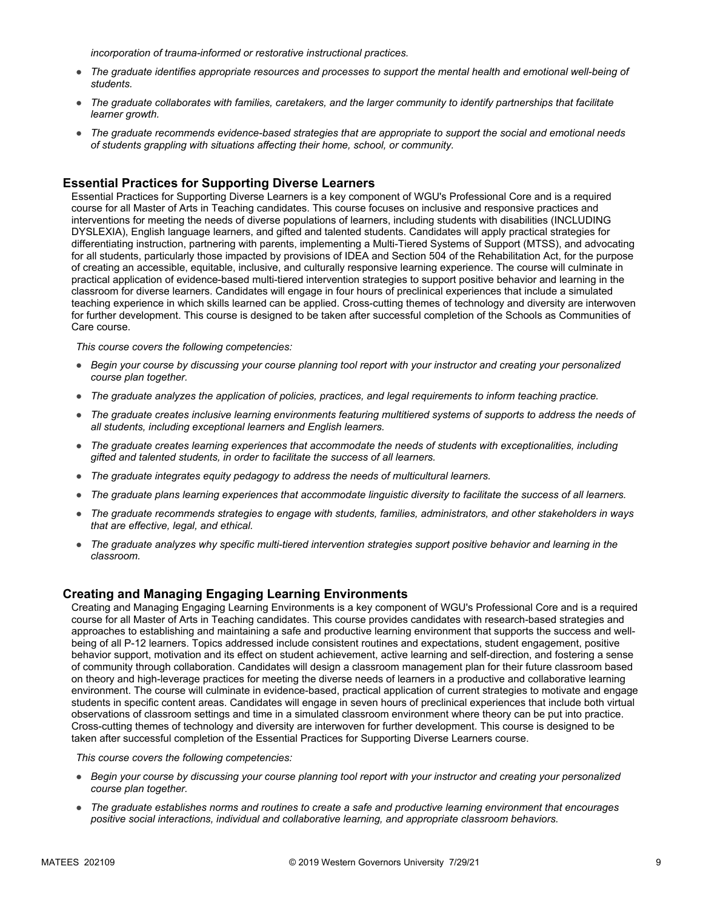*incorporation of trauma-informed or restorative instructional practices.* 

- *The graduate identifies appropriate resources and processes to support the mental health and emotional well-being of students.*
- *The graduate collaborates with families, caretakers, and the larger community to identify partnerships that facilitate learner growth.*
- *The graduate recommends evidence-based strategies that are appropriate to support the social and emotional needs of students grappling with situations affecting their home, school, or community.*

### **Essential Practices for Supporting Diverse Learners**

Essential Practices for Supporting Diverse Learners is a key component of WGU's Professional Core and is a required course for all Master of Arts in Teaching candidates. This course focuses on inclusive and responsive practices and interventions for meeting the needs of diverse populations of learners, including students with disabilities (INCLUDING DYSLEXIA), English language learners, and gifted and talented students. Candidates will apply practical strategies for differentiating instruction, partnering with parents, implementing a Multi-Tiered Systems of Support (MTSS), and advocating for all students, particularly those impacted by provisions of IDEA and Section 504 of the Rehabilitation Act, for the purpose of creating an accessible, equitable, inclusive, and culturally responsive learning experience. The course will culminate in practical application of evidence-based multi-tiered intervention strategies to support positive behavior and learning in the classroom for diverse learners. Candidates will engage in four hours of preclinical experiences that include a simulated teaching experience in which skills learned can be applied. Cross-cutting themes of technology and diversity are interwoven for further development. This course is designed to be taken after successful completion of the Schools as Communities of Care course.

*This course covers the following competencies:*

- *Begin your course by discussing your course planning tool report with your instructor and creating your personalized course plan together.*
- *The graduate analyzes the application of policies, practices, and legal requirements to inform teaching practice.*
- *The graduate creates inclusive learning environments featuring multitiered systems of supports to address the needs of all students, including exceptional learners and English learners.*
- *The graduate creates learning experiences that accommodate the needs of students with exceptionalities, including gifted and talented students, in order to facilitate the success of all learners.*
- *The graduate integrates equity pedagogy to address the needs of multicultural learners.*
- *The graduate plans learning experiences that accommodate linguistic diversity to facilitate the success of all learners.*
- *The graduate recommends strategies to engage with students, families, administrators, and other stakeholders in ways that are effective, legal, and ethical.*
- *The graduate analyzes why specific multi-tiered intervention strategies support positive behavior and learning in the classroom.*

#### **Creating and Managing Engaging Learning Environments**

Creating and Managing Engaging Learning Environments is a key component of WGU's Professional Core and is a required course for all Master of Arts in Teaching candidates. This course provides candidates with research-based strategies and approaches to establishing and maintaining a safe and productive learning environment that supports the success and wellbeing of all P-12 learners. Topics addressed include consistent routines and expectations, student engagement, positive behavior support, motivation and its effect on student achievement, active learning and self-direction, and fostering a sense of community through collaboration. Candidates will design a classroom management plan for their future classroom based on theory and high-leverage practices for meeting the diverse needs of learners in a productive and collaborative learning environment. The course will culminate in evidence-based, practical application of current strategies to motivate and engage students in specific content areas. Candidates will engage in seven hours of preclinical experiences that include both virtual observations of classroom settings and time in a simulated classroom environment where theory can be put into practice. Cross-cutting themes of technology and diversity are interwoven for further development. This course is designed to be taken after successful completion of the Essential Practices for Supporting Diverse Learners course.

- *Begin your course by discussing your course planning tool report with your instructor and creating your personalized course plan together.*
- *The graduate establishes norms and routines to create a safe and productive learning environment that encourages positive social interactions, individual and collaborative learning, and appropriate classroom behaviors.*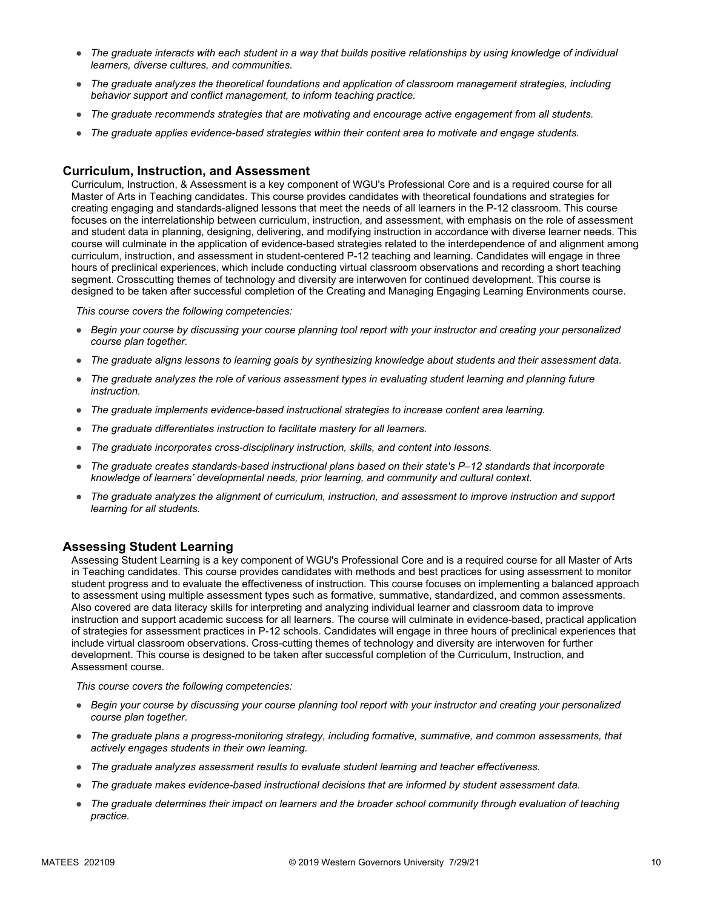- *The graduate interacts with each student in a way that builds positive relationships by using knowledge of individual learners, diverse cultures, and communities.*
- *The graduate analyzes the theoretical foundations and application of classroom management strategies, including behavior support and conflict management, to inform teaching practice.*
- *The graduate recommends strategies that are motivating and encourage active engagement from all students.*
- *The graduate applies evidence-based strategies within their content area to motivate and engage students.*

#### **Curriculum, Instruction, and Assessment**

Curriculum, Instruction, & Assessment is a key component of WGU's Professional Core and is a required course for all Master of Arts in Teaching candidates. This course provides candidates with theoretical foundations and strategies for creating engaging and standards-aligned lessons that meet the needs of all learners in the P-12 classroom. This course focuses on the interrelationship between curriculum, instruction, and assessment, with emphasis on the role of assessment and student data in planning, designing, delivering, and modifying instruction in accordance with diverse learner needs. This course will culminate in the application of evidence-based strategies related to the interdependence of and alignment among curriculum, instruction, and assessment in student-centered P-12 teaching and learning. Candidates will engage in three hours of preclinical experiences, which include conducting virtual classroom observations and recording a short teaching segment. Crosscutting themes of technology and diversity are interwoven for continued development. This course is designed to be taken after successful completion of the Creating and Managing Engaging Learning Environments course.

*This course covers the following competencies:*

- *Begin your course by discussing your course planning tool report with your instructor and creating your personalized course plan together.*
- *The graduate aligns lessons to learning goals by synthesizing knowledge about students and their assessment data.*
- *The graduate analyzes the role of various assessment types in evaluating student learning and planning future instruction.*
- *The graduate implements evidence-based instructional strategies to increase content area learning.*
- *The graduate differentiates instruction to facilitate mastery for all learners.*
- *The graduate incorporates cross-disciplinary instruction, skills, and content into lessons.*
- *The graduate creates standards-based instructional plans based on their state's P–12 standards that incorporate knowledge of learners' developmental needs, prior learning, and community and cultural context.*
- *The graduate analyzes the alignment of curriculum, instruction, and assessment to improve instruction and support learning for all students.*

#### **Assessing Student Learning**

Assessing Student Learning is a key component of WGU's Professional Core and is a required course for all Master of Arts in Teaching candidates. This course provides candidates with methods and best practices for using assessment to monitor student progress and to evaluate the effectiveness of instruction. This course focuses on implementing a balanced approach to assessment using multiple assessment types such as formative, summative, standardized, and common assessments. Also covered are data literacy skills for interpreting and analyzing individual learner and classroom data to improve instruction and support academic success for all learners. The course will culminate in evidence-based, practical application of strategies for assessment practices in P-12 schools. Candidates will engage in three hours of preclinical experiences that include virtual classroom observations. Cross-cutting themes of technology and diversity are interwoven for further development. This course is designed to be taken after successful completion of the Curriculum, Instruction, and Assessment course.

- *Begin your course by discussing your course planning tool report with your instructor and creating your personalized course plan together.*
- *The graduate plans a progress-monitoring strategy, including formative, summative, and common assessments, that actively engages students in their own learning.*
- *The graduate analyzes assessment results to evaluate student learning and teacher effectiveness.*
- *The graduate makes evidence-based instructional decisions that are informed by student assessment data.*
- The graduate determines their impact on learners and the broader school community through evaluation of teaching *practice.*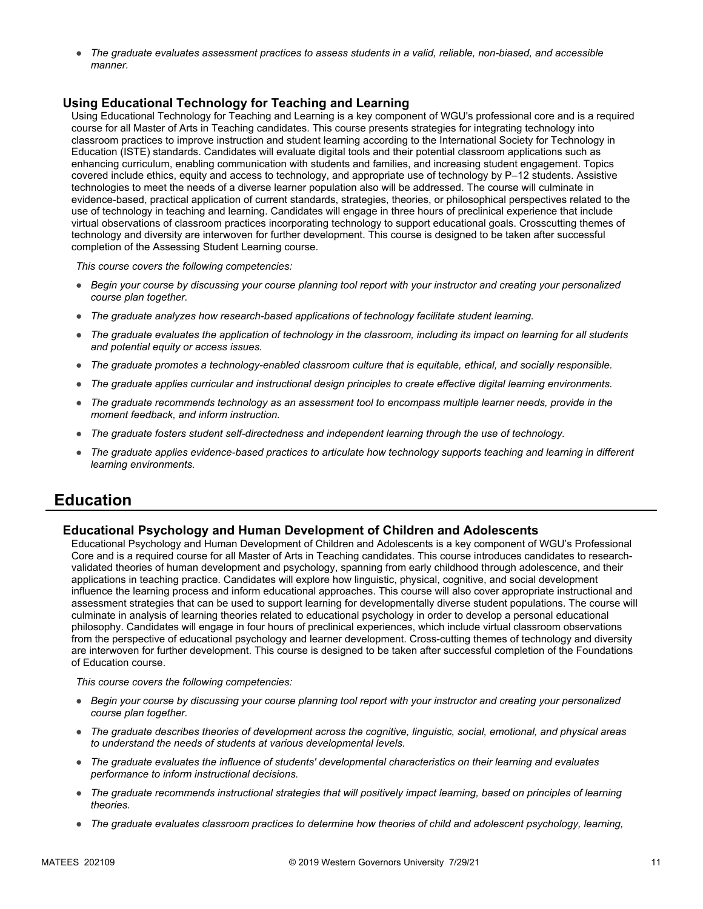● *The graduate evaluates assessment practices to assess students in a valid, reliable, non-biased, and accessible manner.*

### **Using Educational Technology for Teaching and Learning**

Using Educational Technology for Teaching and Learning is a key component of WGU's professional core and is a required course for all Master of Arts in Teaching candidates. This course presents strategies for integrating technology into classroom practices to improve instruction and student learning according to the International Society for Technology in Education (ISTE) standards. Candidates will evaluate digital tools and their potential classroom applications such as enhancing curriculum, enabling communication with students and families, and increasing student engagement. Topics covered include ethics, equity and access to technology, and appropriate use of technology by P–12 students. Assistive technologies to meet the needs of a diverse learner population also will be addressed. The course will culminate in evidence-based, practical application of current standards, strategies, theories, or philosophical perspectives related to the use of technology in teaching and learning. Candidates will engage in three hours of preclinical experience that include virtual observations of classroom practices incorporating technology to support educational goals. Crosscutting themes of technology and diversity are interwoven for further development. This course is designed to be taken after successful completion of the Assessing Student Learning course.

*This course covers the following competencies:*

- *Begin your course by discussing your course planning tool report with your instructor and creating your personalized course plan together.*
- *The graduate analyzes how research-based applications of technology facilitate student learning.*
- *The graduate evaluates the application of technology in the classroom, including its impact on learning for all students and potential equity or access issues.*
- *The graduate promotes a technology-enabled classroom culture that is equitable, ethical, and socially responsible.*
- *The graduate applies curricular and instructional design principles to create effective digital learning environments.*
- *The graduate recommends technology as an assessment tool to encompass multiple learner needs, provide in the moment feedback, and inform instruction.*
- *The graduate fosters student self-directedness and independent learning through the use of technology.*
- The graduate applies evidence-based practices to articulate how technology supports teaching and learning in different *learning environments.*

### **Education**

#### **Educational Psychology and Human Development of Children and Adolescents**

Educational Psychology and Human Development of Children and Adolescents is a key component of WGU's Professional Core and is a required course for all Master of Arts in Teaching candidates. This course introduces candidates to researchvalidated theories of human development and psychology, spanning from early childhood through adolescence, and their applications in teaching practice. Candidates will explore how linguistic, physical, cognitive, and social development influence the learning process and inform educational approaches. This course will also cover appropriate instructional and assessment strategies that can be used to support learning for developmentally diverse student populations. The course will culminate in analysis of learning theories related to educational psychology in order to develop a personal educational philosophy. Candidates will engage in four hours of preclinical experiences, which include virtual classroom observations from the perspective of educational psychology and learner development. Cross-cutting themes of technology and diversity are interwoven for further development. This course is designed to be taken after successful completion of the Foundations of Education course.

- *Begin your course by discussing your course planning tool report with your instructor and creating your personalized course plan together.*
- *The graduate describes theories of development across the cognitive, linguistic, social, emotional, and physical areas to understand the needs of students at various developmental levels.*
- *The graduate evaluates the influence of students' developmental characteristics on their learning and evaluates performance to inform instructional decisions.*
- *The graduate recommends instructional strategies that will positively impact learning, based on principles of learning theories.*
- *The graduate evaluates classroom practices to determine how theories of child and adolescent psychology, learning,*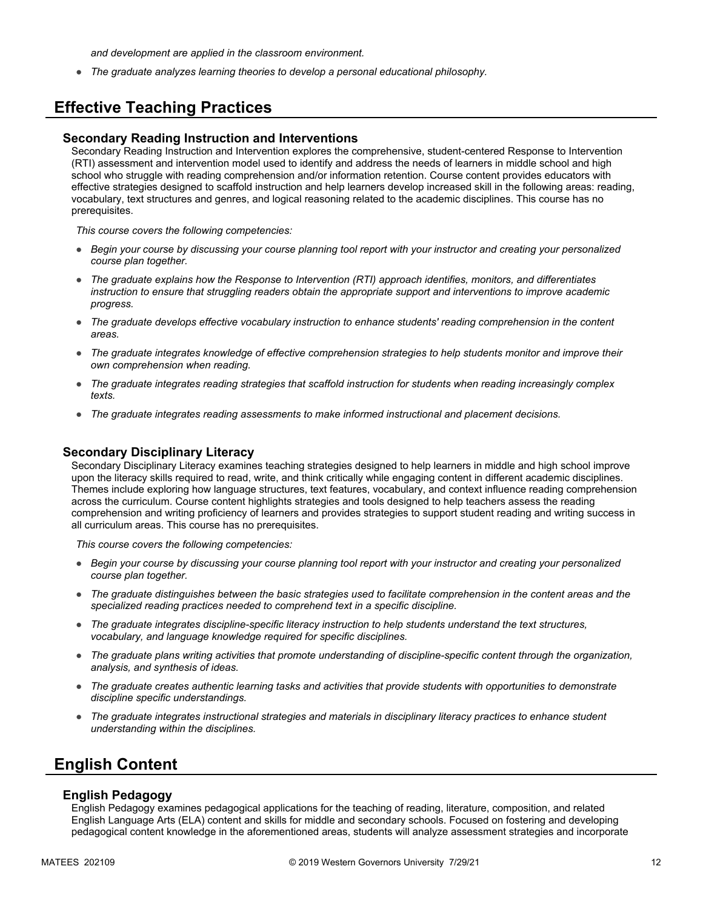*and development are applied in the classroom environment.*

● *The graduate analyzes learning theories to develop a personal educational philosophy.*

# **Effective Teaching Practices**

#### **Secondary Reading Instruction and Interventions**

Secondary Reading Instruction and Intervention explores the comprehensive, student-centered Response to Intervention (RTI) assessment and intervention model used to identify and address the needs of learners in middle school and high school who struggle with reading comprehension and/or information retention. Course content provides educators with effective strategies designed to scaffold instruction and help learners develop increased skill in the following areas: reading, vocabulary, text structures and genres, and logical reasoning related to the academic disciplines. This course has no prerequisites.

*This course covers the following competencies:*

- *Begin your course by discussing your course planning tool report with your instructor and creating your personalized course plan together.*
- *The graduate explains how the Response to Intervention (RTI) approach identifies, monitors, and differentiates instruction to ensure that struggling readers obtain the appropriate support and interventions to improve academic progress.*
- *The graduate develops effective vocabulary instruction to enhance students' reading comprehension in the content areas.*
- *The graduate integrates knowledge of effective comprehension strategies to help students monitor and improve their own comprehension when reading.*
- *The graduate integrates reading strategies that scaffold instruction for students when reading increasingly complex texts.*
- *The graduate integrates reading assessments to make informed instructional and placement decisions.*

#### **Secondary Disciplinary Literacy**

Secondary Disciplinary Literacy examines teaching strategies designed to help learners in middle and high school improve upon the literacy skills required to read, write, and think critically while engaging content in different academic disciplines. Themes include exploring how language structures, text features, vocabulary, and context influence reading comprehension across the curriculum. Course content highlights strategies and tools designed to help teachers assess the reading comprehension and writing proficiency of learners and provides strategies to support student reading and writing success in all curriculum areas. This course has no prerequisites.

*This course covers the following competencies:*

- *Begin your course by discussing your course planning tool report with your instructor and creating your personalized course plan together.*
- *The graduate distinguishes between the basic strategies used to facilitate comprehension in the content areas and the specialized reading practices needed to comprehend text in a specific discipline.*
- *The graduate integrates discipline-specific literacy instruction to help students understand the text structures, vocabulary, and language knowledge required for specific disciplines.*
- *The graduate plans writing activities that promote understanding of discipline-specific content through the organization, analysis, and synthesis of ideas.*
- *The graduate creates authentic learning tasks and activities that provide students with opportunities to demonstrate discipline specific understandings.*
- *The graduate integrates instructional strategies and materials in disciplinary literacy practices to enhance student understanding within the disciplines.*

### **English Content**

#### **English Pedagogy**

English Pedagogy examines pedagogical applications for the teaching of reading, literature, composition, and related English Language Arts (ELA) content and skills for middle and secondary schools. Focused on fostering and developing pedagogical content knowledge in the aforementioned areas, students will analyze assessment strategies and incorporate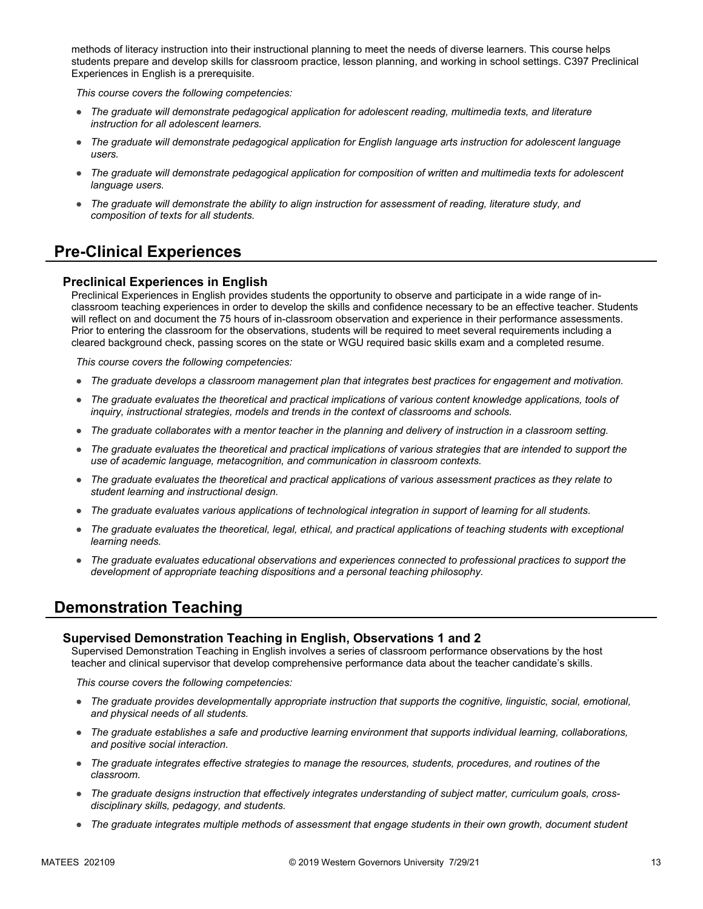methods of literacy instruction into their instructional planning to meet the needs of diverse learners. This course helps students prepare and develop skills for classroom practice, lesson planning, and working in school settings. C397 Preclinical Experiences in English is a prerequisite.

*This course covers the following competencies:*

- *The graduate will demonstrate pedagogical application for adolescent reading, multimedia texts, and literature instruction for all adolescent learners.*
- *The graduate will demonstrate pedagogical application for English language arts instruction for adolescent language users.*
- *The graduate will demonstrate pedagogical application for composition of written and multimedia texts for adolescent language users.*
- *The graduate will demonstrate the ability to align instruction for assessment of reading, literature study, and composition of texts for all students.*

# **Pre-Clinical Experiences**

### **Preclinical Experiences in English**

Preclinical Experiences in English provides students the opportunity to observe and participate in a wide range of inclassroom teaching experiences in order to develop the skills and confidence necessary to be an effective teacher. Students will reflect on and document the 75 hours of in-classroom observation and experience in their performance assessments. Prior to entering the classroom for the observations, students will be required to meet several requirements including a cleared background check, passing scores on the state or WGU required basic skills exam and a completed resume.

*This course covers the following competencies:*

- *The graduate develops a classroom management plan that integrates best practices for engagement and motivation.*
- *The graduate evaluates the theoretical and practical implications of various content knowledge applications, tools of inquiry, instructional strategies, models and trends in the context of classrooms and schools.*
- *The graduate collaborates with a mentor teacher in the planning and delivery of instruction in a classroom setting.*
- *The graduate evaluates the theoretical and practical implications of various strategies that are intended to support the use of academic language, metacognition, and communication in classroom contexts.*
- *The graduate evaluates the theoretical and practical applications of various assessment practices as they relate to student learning and instructional design.*
- *The graduate evaluates various applications of technological integration in support of learning for all students.*
- *The graduate evaluates the theoretical, legal, ethical, and practical applications of teaching students with exceptional learning needs.*
- *The graduate evaluates educational observations and experiences connected to professional practices to support the development of appropriate teaching dispositions and a personal teaching philosophy.*

### **Demonstration Teaching**

#### **Supervised Demonstration Teaching in English, Observations 1 and 2**

Supervised Demonstration Teaching in English involves a series of classroom performance observations by the host teacher and clinical supervisor that develop comprehensive performance data about the teacher candidate's skills.

- *The graduate provides developmentally appropriate instruction that supports the cognitive, linguistic, social, emotional, and physical needs of all students.*
- *The graduate establishes a safe and productive learning environment that supports individual learning, collaborations, and positive social interaction.*
- *The graduate integrates effective strategies to manage the resources, students, procedures, and routines of the classroom.*
- *The graduate designs instruction that effectively integrates understanding of subject matter, curriculum goals, crossdisciplinary skills, pedagogy, and students.*
- *The graduate integrates multiple methods of assessment that engage students in their own growth, document student*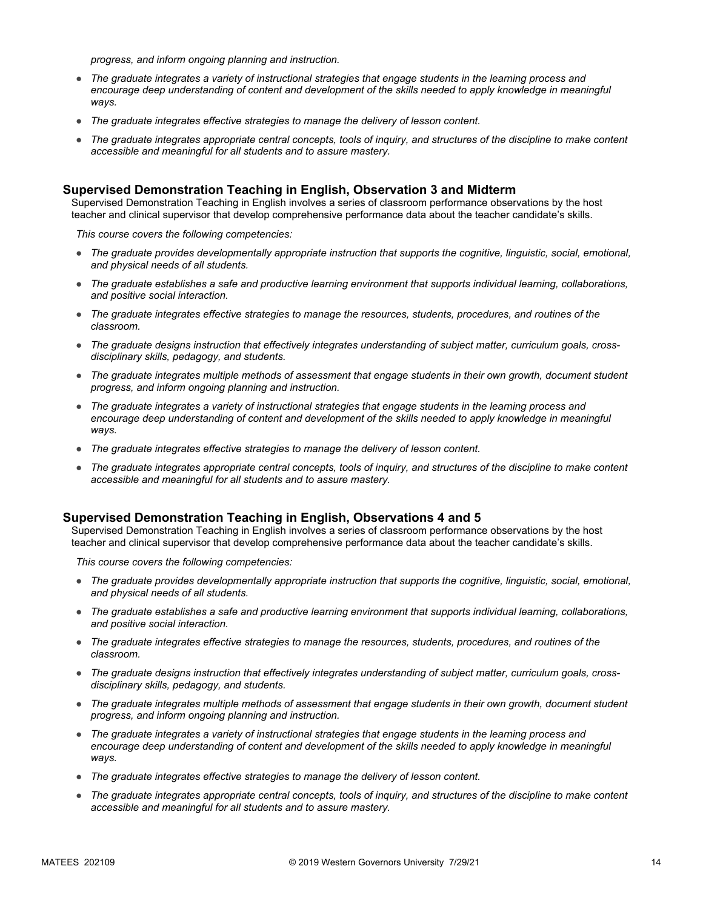*progress, and inform ongoing planning and instruction.*

- *The graduate integrates a variety of instructional strategies that engage students in the learning process and*  encourage deep understanding of content and development of the skills needed to apply knowledge in meaningful *ways.*
- *The graduate integrates effective strategies to manage the delivery of lesson content.*
- *The graduate integrates appropriate central concepts, tools of inquiry, and structures of the discipline to make content accessible and meaningful for all students and to assure mastery.*

### **Supervised Demonstration Teaching in English, Observation 3 and Midterm**

Supervised Demonstration Teaching in English involves a series of classroom performance observations by the host teacher and clinical supervisor that develop comprehensive performance data about the teacher candidate's skills.

*This course covers the following competencies:*

- *The graduate provides developmentally appropriate instruction that supports the cognitive, linguistic, social, emotional, and physical needs of all students.*
- *The graduate establishes a safe and productive learning environment that supports individual learning, collaborations, and positive social interaction.*
- *The graduate integrates effective strategies to manage the resources, students, procedures, and routines of the classroom.*
- The graduate designs instruction that effectively integrates understanding of subject matter, curriculum goals, cross*disciplinary skills, pedagogy, and students.*
- *The graduate integrates multiple methods of assessment that engage students in their own growth, document student progress, and inform ongoing planning and instruction.*
- *The graduate integrates a variety of instructional strategies that engage students in the learning process and*  encourage deep understanding of content and development of the skills needed to apply knowledge in meaningful *ways.*
- *The graduate integrates effective strategies to manage the delivery of lesson content.*
- *The graduate integrates appropriate central concepts, tools of inquiry, and structures of the discipline to make content accessible and meaningful for all students and to assure mastery.*

#### **Supervised Demonstration Teaching in English, Observations 4 and 5**

Supervised Demonstration Teaching in English involves a series of classroom performance observations by the host teacher and clinical supervisor that develop comprehensive performance data about the teacher candidate's skills.

- *The graduate provides developmentally appropriate instruction that supports the cognitive, linguistic, social, emotional, and physical needs of all students.*
- *The graduate establishes a safe and productive learning environment that supports individual learning, collaborations, and positive social interaction.*
- *The graduate integrates effective strategies to manage the resources, students, procedures, and routines of the classroom.*
- *The graduate designs instruction that effectively integrates understanding of subject matter, curriculum goals, crossdisciplinary skills, pedagogy, and students.*
- *The graduate integrates multiple methods of assessment that engage students in their own growth, document student progress, and inform ongoing planning and instruction.*
- *The graduate integrates a variety of instructional strategies that engage students in the learning process and*  encourage deep understanding of content and development of the skills needed to apply knowledge in meaningful *ways.*
- *The graduate integrates effective strategies to manage the delivery of lesson content.*
- *The graduate integrates appropriate central concepts, tools of inquiry, and structures of the discipline to make content accessible and meaningful for all students and to assure mastery.*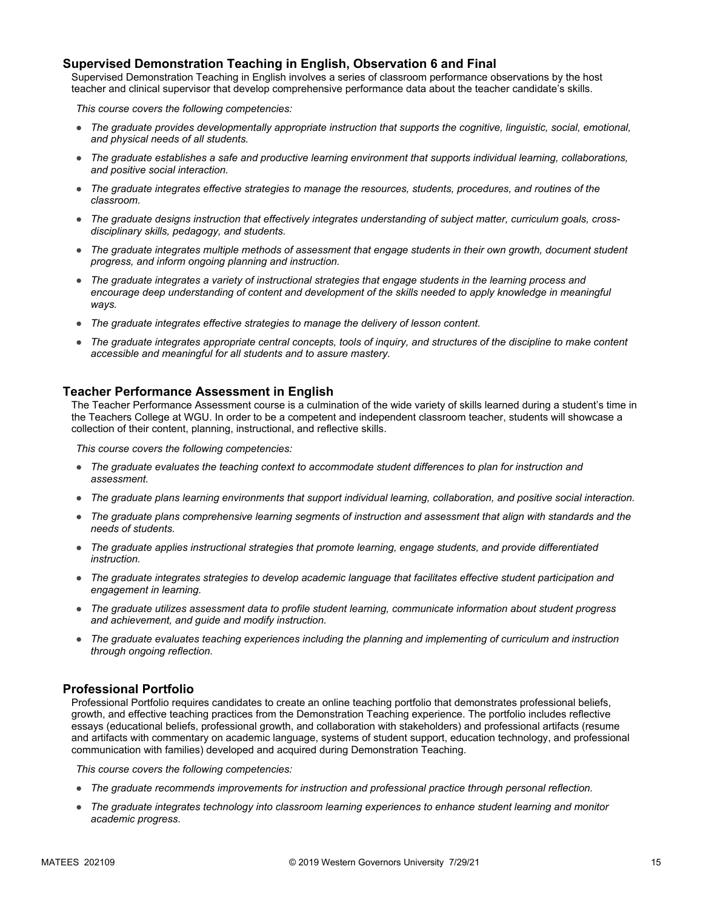### **Supervised Demonstration Teaching in English, Observation 6 and Final**

Supervised Demonstration Teaching in English involves a series of classroom performance observations by the host teacher and clinical supervisor that develop comprehensive performance data about the teacher candidate's skills.

*This course covers the following competencies:*

- *The graduate provides developmentally appropriate instruction that supports the cognitive, linguistic, social, emotional, and physical needs of all students.*
- *The graduate establishes a safe and productive learning environment that supports individual learning, collaborations, and positive social interaction.*
- *The graduate integrates effective strategies to manage the resources, students, procedures, and routines of the classroom.*
- *The graduate designs instruction that effectively integrates understanding of subject matter, curriculum goals, crossdisciplinary skills, pedagogy, and students.*
- *The graduate integrates multiple methods of assessment that engage students in their own growth, document student progress, and inform ongoing planning and instruction.*
- *The graduate integrates a variety of instructional strategies that engage students in the learning process and*  encourage deep understanding of content and development of the skills needed to apply knowledge in meaningful *ways.*
- *The graduate integrates effective strategies to manage the delivery of lesson content.*
- The graduate integrates appropriate central concepts, tools of inquiry, and structures of the discipline to make content *accessible and meaningful for all students and to assure mastery.*

### **Teacher Performance Assessment in English**

The Teacher Performance Assessment course is a culmination of the wide variety of skills learned during a student's time in the Teachers College at WGU. In order to be a competent and independent classroom teacher, students will showcase a collection of their content, planning, instructional, and reflective skills.

*This course covers the following competencies:*

- *The graduate evaluates the teaching context to accommodate student differences to plan for instruction and assessment.*
- *The graduate plans learning environments that support individual learning, collaboration, and positive social interaction.*
- *The graduate plans comprehensive learning segments of instruction and assessment that align with standards and the needs of students.*
- *The graduate applies instructional strategies that promote learning, engage students, and provide differentiated instruction.*
- *The graduate integrates strategies to develop academic language that facilitates effective student participation and engagement in learning.*
- *The graduate utilizes assessment data to profile student learning, communicate information about student progress and achievement, and guide and modify instruction.*
- *The graduate evaluates teaching experiences including the planning and implementing of curriculum and instruction through ongoing reflection.*

#### **Professional Portfolio**

Professional Portfolio requires candidates to create an online teaching portfolio that demonstrates professional beliefs, growth, and effective teaching practices from the Demonstration Teaching experience. The portfolio includes reflective essays (educational beliefs, professional growth, and collaboration with stakeholders) and professional artifacts (resume and artifacts with commentary on academic language, systems of student support, education technology, and professional communication with families) developed and acquired during Demonstration Teaching.

- *The graduate recommends improvements for instruction and professional practice through personal reflection.*
- *The graduate integrates technology into classroom learning experiences to enhance student learning and monitor academic progress.*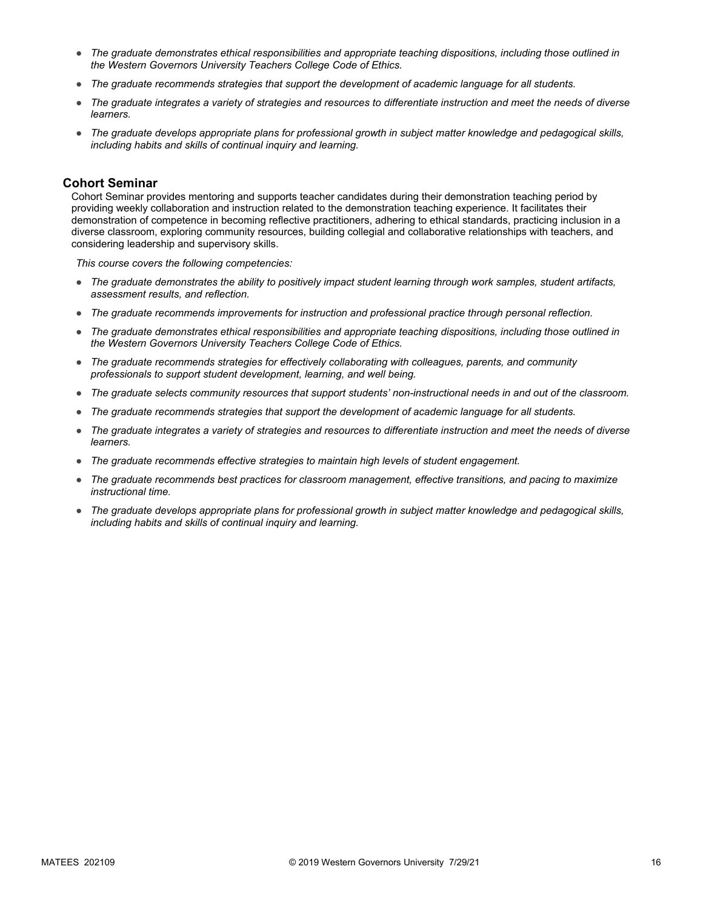- *The graduate demonstrates ethical responsibilities and appropriate teaching dispositions, including those outlined in the Western Governors University Teachers College Code of Ethics.*
- *The graduate recommends strategies that support the development of academic language for all students.*
- *The graduate integrates a variety of strategies and resources to differentiate instruction and meet the needs of diverse learners.*
- *The graduate develops appropriate plans for professional growth in subject matter knowledge and pedagogical skills, including habits and skills of continual inquiry and learning.*

#### **Cohort Seminar**

Cohort Seminar provides mentoring and supports teacher candidates during their demonstration teaching period by providing weekly collaboration and instruction related to the demonstration teaching experience. It facilitates their demonstration of competence in becoming reflective practitioners, adhering to ethical standards, practicing inclusion in a diverse classroom, exploring community resources, building collegial and collaborative relationships with teachers, and considering leadership and supervisory skills.

- *The graduate demonstrates the ability to positively impact student learning through work samples, student artifacts, assessment results, and reflection.*
- *The graduate recommends improvements for instruction and professional practice through personal reflection.*
- *The graduate demonstrates ethical responsibilities and appropriate teaching dispositions, including those outlined in the Western Governors University Teachers College Code of Ethics.*
- *The graduate recommends strategies for effectively collaborating with colleagues, parents, and community professionals to support student development, learning, and well being.*
- *The graduate selects community resources that support students' non-instructional needs in and out of the classroom.*
- *The graduate recommends strategies that support the development of academic language for all students.*
- *The graduate integrates a variety of strategies and resources to differentiate instruction and meet the needs of diverse learners.*
- *The graduate recommends effective strategies to maintain high levels of student engagement.*
- *The graduate recommends best practices for classroom management, effective transitions, and pacing to maximize instructional time.*
- *The graduate develops appropriate plans for professional growth in subject matter knowledge and pedagogical skills, including habits and skills of continual inquiry and learning.*